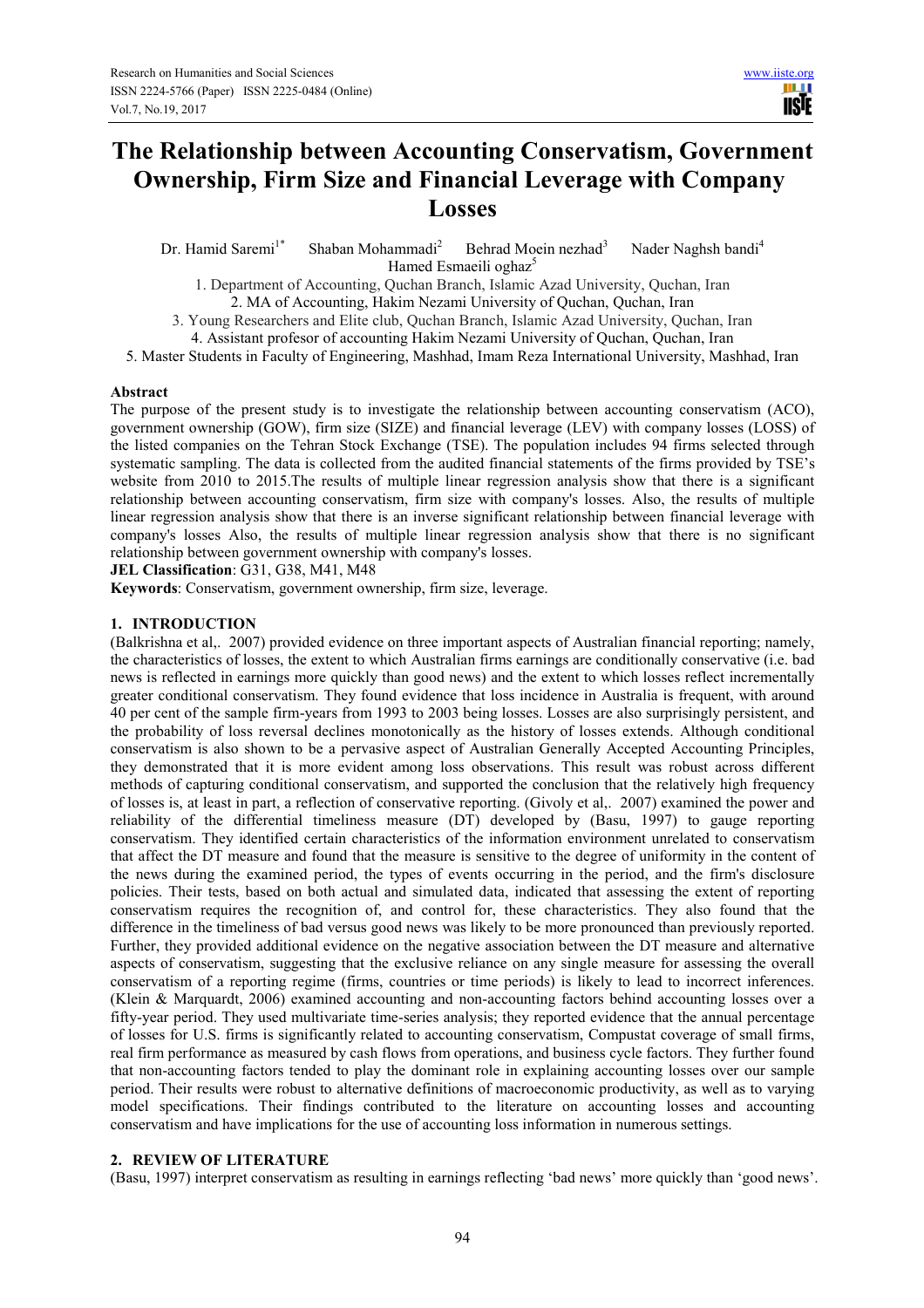# **The Relationship between Accounting Conservatism, Government Ownership, Firm Size and Financial Leverage with Company Losses**

Dr. Hamid Saremi<sup>1\*</sup> Shaban Mohammadi<sup>2</sup> Behrad Moein nezhad<sup>3</sup> Nader Naghsh bandi<sup>4</sup> Hamed Esmaeili oghaz<sup>5</sup>

1. Department of Accounting, Quchan Branch, Islamic Azad University, Quchan, Iran 2. MA of Accounting, Hakim Nezami University of Quchan, Quchan, Iran

3. Young Researchers and Elite club, Quchan Branch, Islamic Azad University, Quchan, Iran

4. Assistant profesor of accounting Hakim Nezami University of Quchan, Quchan, Iran

5. Master Students in Faculty of Engineering, Mashhad, Imam Reza International University, Mashhad, Iran

#### **Abstract**

The purpose of the present study is to investigate the relationship between accounting conservatism (ACO), government ownership (GOW), firm size (SIZE) and financial leverage (LEV) with company losses (LOSS) of the listed companies on the Tehran Stock Exchange (TSE). The population includes 94 firms selected through systematic sampling. The data is collected from the audited financial statements of the firms provided by TSE's website from 2010 to 2015.The results of multiple linear regression analysis show that there is a significant relationship between accounting conservatism, firm size with company's losses. Also, the results of multiple linear regression analysis show that there is an inverse significant relationship between financial leverage with company's losses Also, the results of multiple linear regression analysis show that there is no significant relationship between government ownership with company's losses.

**JEL Classification**: G31, G38, M41, M48

**Keywords**: Conservatism, government ownership, firm size, leverage.

### **1. INTRODUCTION**

(Balkrishna et al,. 2007) provided evidence on three important aspects of Australian financial reporting; namely, the characteristics of losses, the extent to which Australian firms earnings are conditionally conservative (i.e. bad news is reflected in earnings more quickly than good news) and the extent to which losses reflect incrementally greater conditional conservatism. They found evidence that loss incidence in Australia is frequent, with around 40 per cent of the sample firm-years from 1993 to 2003 being losses. Losses are also surprisingly persistent, and the probability of loss reversal declines monotonically as the history of losses extends. Although conditional conservatism is also shown to be a pervasive aspect of Australian Generally Accepted Accounting Principles, they demonstrated that it is more evident among loss observations. This result was robust across different methods of capturing conditional conservatism, and supported the conclusion that the relatively high frequency of losses is, at least in part, a reflection of conservative reporting. (Givoly et al,. 2007) examined the power and reliability of the differential timeliness measure (DT) developed by (Basu, 1997) to gauge reporting conservatism. They identified certain characteristics of the information environment unrelated to conservatism that affect the DT measure and found that the measure is sensitive to the degree of uniformity in the content of the news during the examined period, the types of events occurring in the period, and the firm's disclosure policies. Their tests, based on both actual and simulated data, indicated that assessing the extent of reporting conservatism requires the recognition of, and control for, these characteristics. They also found that the difference in the timeliness of bad versus good news was likely to be more pronounced than previously reported. Further, they provided additional evidence on the negative association between the DT measure and alternative aspects of conservatism, suggesting that the exclusive reliance on any single measure for assessing the overall conservatism of a reporting regime (firms, countries or time periods) is likely to lead to incorrect inferences. (Klein & Marquardt, 2006) examined accounting and non-accounting factors behind accounting losses over a fifty-year period. They used multivariate time-series analysis; they reported evidence that the annual percentage of losses for U.S. firms is significantly related to accounting conservatism, Compustat coverage of small firms, real firm performance as measured by cash flows from operations, and business cycle factors. They further found that non-accounting factors tended to play the dominant role in explaining accounting losses over our sample period. Their results were robust to alternative definitions of macroeconomic productivity, as well as to varying model specifications. Their findings contributed to the literature on accounting losses and accounting conservatism and have implications for the use of accounting loss information in numerous settings.

#### **2. REVIEW OF LITERATURE**

(Basu, 1997) interpret conservatism as resulting in earnings reflecting 'bad news' more quickly than 'good news'.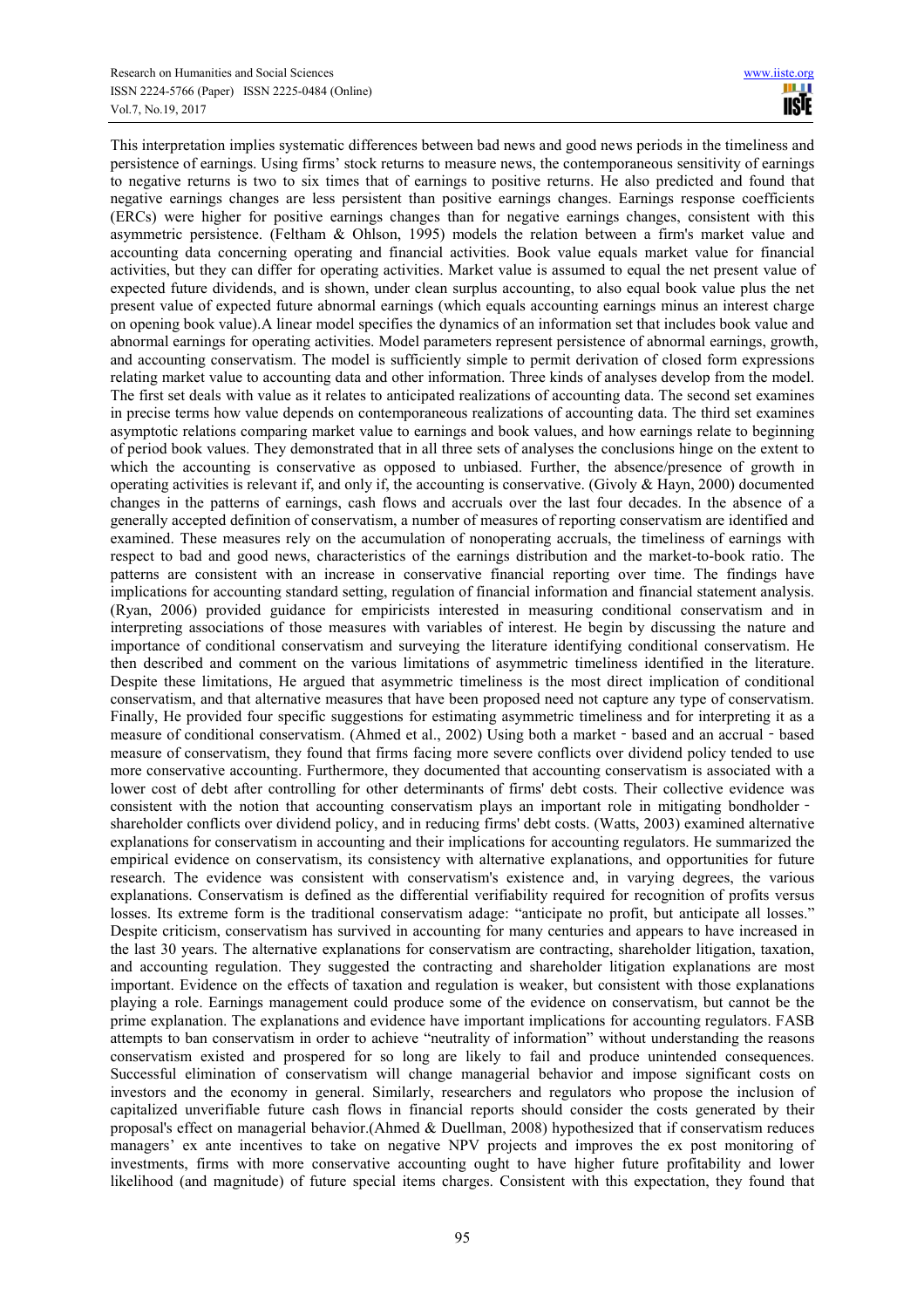This interpretation implies systematic differences between bad news and good news periods in the timeliness and persistence of earnings. Using firms' stock returns to measure news, the contemporaneous sensitivity of earnings to negative returns is two to six times that of earnings to positive returns. He also predicted and found that negative earnings changes are less persistent than positive earnings changes. Earnings response coefficients (ERCs) were higher for positive earnings changes than for negative earnings changes, consistent with this asymmetric persistence. (Feltham & Ohlson, 1995) models the relation between a firm's market value and accounting data concerning operating and financial activities. Book value equals market value for financial activities, but they can differ for operating activities. Market value is assumed to equal the net present value of expected future dividends, and is shown, under clean surplus accounting, to also equal book value plus the net present value of expected future abnormal earnings (which equals accounting earnings minus an interest charge on opening book value).A linear model specifies the dynamics of an information set that includes book value and abnormal earnings for operating activities. Model parameters represent persistence of abnormal earnings, growth, and accounting conservatism. The model is sufficiently simple to permit derivation of closed form expressions relating market value to accounting data and other information. Three kinds of analyses develop from the model. The first set deals with value as it relates to anticipated realizations of accounting data. The second set examines in precise terms how value depends on contemporaneous realizations of accounting data. The third set examines asymptotic relations comparing market value to earnings and book values, and how earnings relate to beginning of period book values. They demonstrated that in all three sets of analyses the conclusions hinge on the extent to which the accounting is conservative as opposed to unbiased. Further, the absence/presence of growth in operating activities is relevant if, and only if, the accounting is conservative. (Givoly  $\&$  Hayn, 2000) documented changes in the patterns of earnings, cash flows and accruals over the last four decades. In the absence of a generally accepted definition of conservatism, a number of measures of reporting conservatism are identified and examined. These measures rely on the accumulation of nonoperating accruals, the timeliness of earnings with respect to bad and good news, characteristics of the earnings distribution and the market-to-book ratio. The patterns are consistent with an increase in conservative financial reporting over time. The findings have implications for accounting standard setting, regulation of financial information and financial statement analysis. (Ryan, 2006) provided guidance for empiricists interested in measuring conditional conservatism and in interpreting associations of those measures with variables of interest. He begin by discussing the nature and importance of conditional conservatism and surveying the literature identifying conditional conservatism. He then described and comment on the various limitations of asymmetric timeliness identified in the literature. Despite these limitations, He argued that asymmetric timeliness is the most direct implication of conditional conservatism, and that alternative measures that have been proposed need not capture any type of conservatism. Finally, He provided four specific suggestions for estimating asymmetric timeliness and for interpreting it as a measure of conditional conservatism. (Ahmed et al., 2002) Using both a market - based and an accrual - based measure of conservatism, they found that firms facing more severe conflicts over dividend policy tended to use more conservative accounting. Furthermore, they documented that accounting conservatism is associated with a lower cost of debt after controlling for other determinants of firms' debt costs. Their collective evidence was consistent with the notion that accounting conservatism plays an important role in mitigating bondholder shareholder conflicts over dividend policy, and in reducing firms' debt costs. (Watts, 2003) examined alternative explanations for conservatism in accounting and their implications for accounting regulators. He summarized the empirical evidence on conservatism, its consistency with alternative explanations, and opportunities for future research. The evidence was consistent with conservatism's existence and, in varying degrees, the various explanations. Conservatism is defined as the differential verifiability required for recognition of profits versus losses. Its extreme form is the traditional conservatism adage: "anticipate no profit, but anticipate all losses." Despite criticism, conservatism has survived in accounting for many centuries and appears to have increased in the last 30 years. The alternative explanations for conservatism are contracting, shareholder litigation, taxation, and accounting regulation. They suggested the contracting and shareholder litigation explanations are most important. Evidence on the effects of taxation and regulation is weaker, but consistent with those explanations playing a role. Earnings management could produce some of the evidence on conservatism, but cannot be the prime explanation. The explanations and evidence have important implications for accounting regulators. FASB attempts to ban conservatism in order to achieve "neutrality of information" without understanding the reasons conservatism existed and prospered for so long are likely to fail and produce unintended consequences. Successful elimination of conservatism will change managerial behavior and impose significant costs on investors and the economy in general. Similarly, researchers and regulators who propose the inclusion of capitalized unverifiable future cash flows in financial reports should consider the costs generated by their proposal's effect on managerial behavior.(Ahmed & Duellman, 2008) hypothesized that if conservatism reduces managers' ex ante incentives to take on negative NPV projects and improves the ex post monitoring of investments, firms with more conservative accounting ought to have higher future profitability and lower likelihood (and magnitude) of future special items charges. Consistent with this expectation, they found that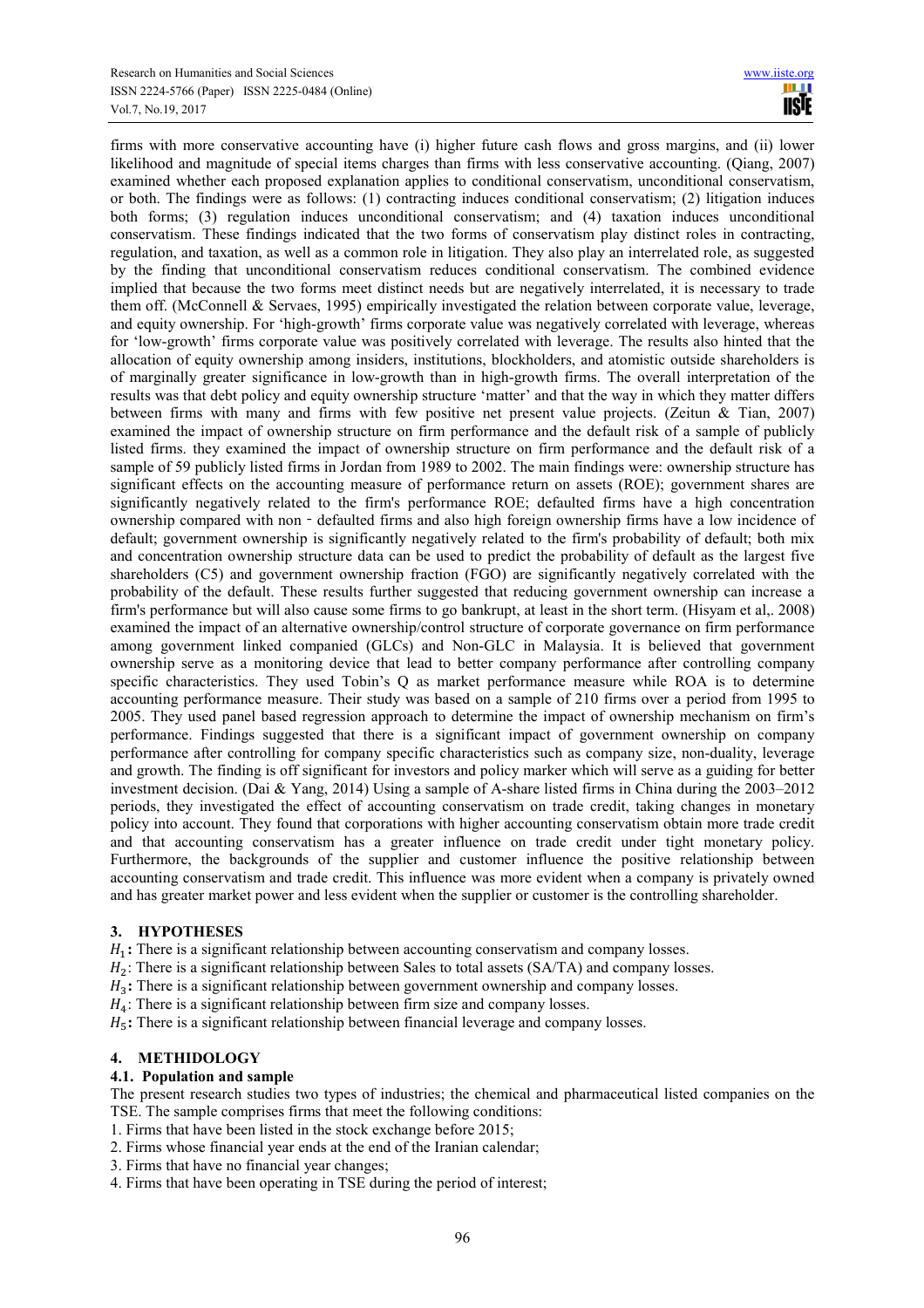firms with more conservative accounting have (i) higher future cash flows and gross margins, and (ii) lower likelihood and magnitude of special items charges than firms with less conservative accounting. (Qiang, 2007) examined whether each proposed explanation applies to conditional conservatism, unconditional conservatism, or both. The findings were as follows: (1) contracting induces conditional conservatism; (2) litigation induces both forms; (3) regulation induces unconditional conservatism; and (4) taxation induces unconditional conservatism. These findings indicated that the two forms of conservatism play distinct roles in contracting, regulation, and taxation, as well as a common role in litigation. They also play an interrelated role, as suggested by the finding that unconditional conservatism reduces conditional conservatism. The combined evidence implied that because the two forms meet distinct needs but are negatively interrelated, it is necessary to trade them off. (McConnell & Servaes, 1995) empirically investigated the relation between corporate value, leverage, and equity ownership. For 'high-growth' firms corporate value was negatively correlated with leverage, whereas for 'low-growth' firms corporate value was positively correlated with leverage. The results also hinted that the allocation of equity ownership among insiders, institutions, blockholders, and atomistic outside shareholders is of marginally greater significance in low-growth than in high-growth firms. The overall interpretation of the results was that debt policy and equity ownership structure 'matter' and that the way in which they matter differs between firms with many and firms with few positive net present value projects. (Zeitun & Tian, 2007) examined the impact of ownership structure on firm performance and the default risk of a sample of publicly listed firms. they examined the impact of ownership structure on firm performance and the default risk of a sample of 59 publicly listed firms in Jordan from 1989 to 2002. The main findings were: ownership structure has significant effects on the accounting measure of performance return on assets (ROE); government shares are significantly negatively related to the firm's performance ROE; defaulted firms have a high concentration ownership compared with non - defaulted firms and also high foreign ownership firms have a low incidence of default; government ownership is significantly negatively related to the firm's probability of default; both mix and concentration ownership structure data can be used to predict the probability of default as the largest five shareholders (C5) and government ownership fraction (FGO) are significantly negatively correlated with the probability of the default. These results further suggested that reducing government ownership can increase a firm's performance but will also cause some firms to go bankrupt, at least in the short term. (Hisyam et al,. 2008) examined the impact of an alternative ownership/control structure of corporate governance on firm performance among government linked companied (GLCs) and Non-GLC in Malaysia. It is believed that government ownership serve as a monitoring device that lead to better company performance after controlling company specific characteristics. They used Tobin's Q as market performance measure while ROA is to determine accounting performance measure. Their study was based on a sample of 210 firms over a period from 1995 to 2005. They used panel based regression approach to determine the impact of ownership mechanism on firm's performance. Findings suggested that there is a significant impact of government ownership on company performance after controlling for company specific characteristics such as company size, non-duality, leverage and growth. The finding is off significant for investors and policy marker which will serve as a guiding for better investment decision. (Dai & Yang, 2014) Using a sample of A-share listed firms in China during the 2003–2012 periods, they investigated the effect of accounting conservatism on trade credit, taking changes in monetary policy into account. They found that corporations with higher accounting conservatism obtain more trade credit and that accounting conservatism has a greater influence on trade credit under tight monetary policy. Furthermore, the backgrounds of the supplier and customer influence the positive relationship between accounting conservatism and trade credit. This influence was more evident when a company is privately owned and has greater market power and less evident when the supplier or customer is the controlling shareholder.

## **3. HYPOTHESES**

H<sub>1</sub>: There is a significant relationship between accounting conservatism and company losses.

 $H_2$ : There is a significant relationship between Sales to total assets (SA/TA) and company losses.

H<sub>3</sub>: There is a significant relationship between government ownership and company losses.

 $H_4$ : There is a significant relationship between firm size and company losses.

H<sub>5</sub>: There is a significant relationship between financial leverage and company losses.

## **4. METHIDOLOGY**

## **4.1. Population and sample**

The present research studies two types of industries; the chemical and pharmaceutical listed companies on the TSE. The sample comprises firms that meet the following conditions:

- 1. Firms that have been listed in the stock exchange before 2015;
- 2. Firms whose financial year ends at the end of the Iranian calendar;
- 3. Firms that have no financial year changes;
- 4. Firms that have been operating in TSE during the period of interest;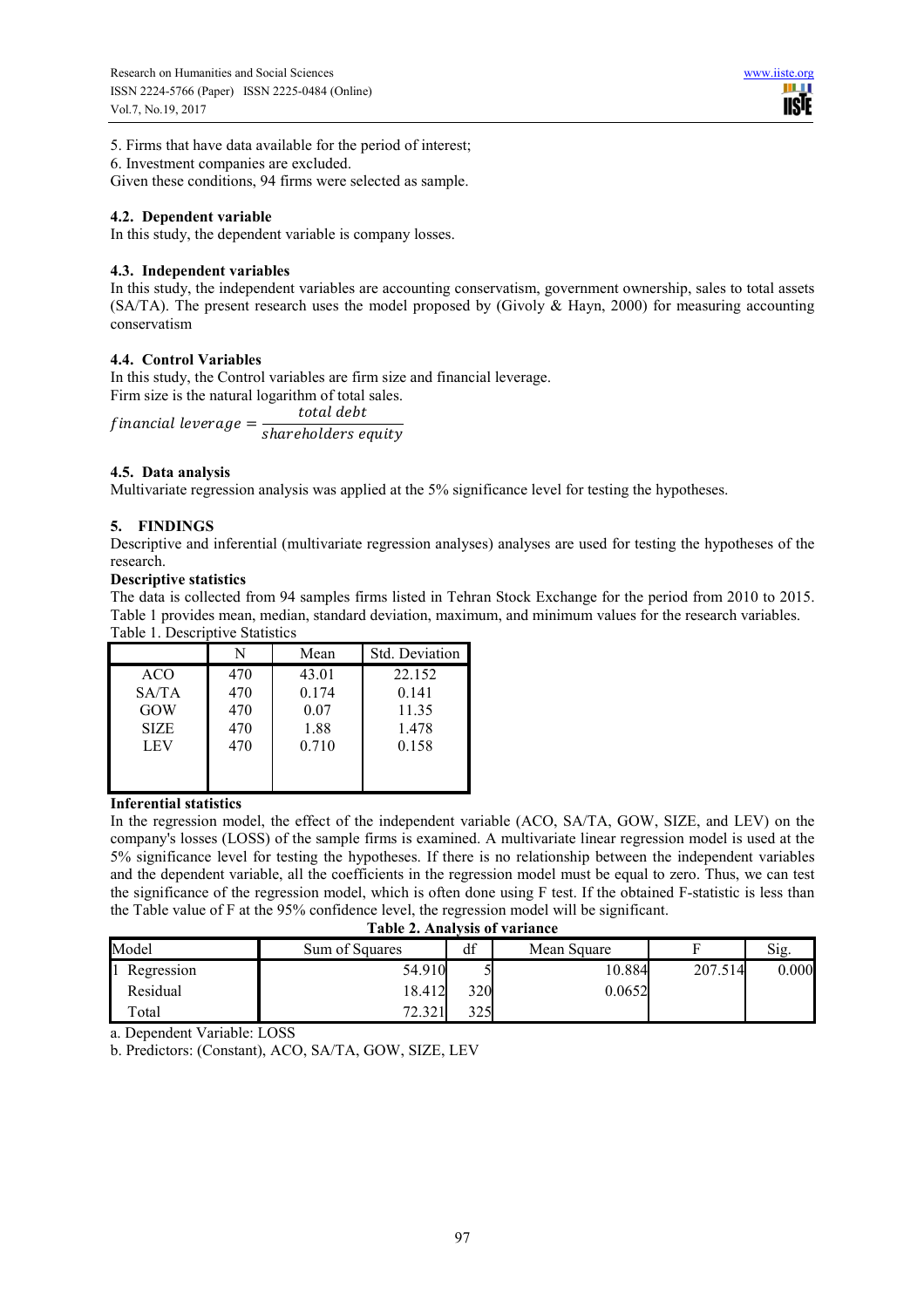5. Firms that have data available for the period of interest;

6. Investment companies are excluded.

Given these conditions, 94 firms were selected as sample.

## **4.2. Dependent variable**

In this study, the dependent variable is company losses.

## **4.3. Independent variables**

In this study, the independent variables are accounting conservatism, government ownership, sales to total assets (SA/TA). The present research uses the model proposed by (Givoly & Hayn, 2000) for measuring accounting conservatism

# **4.4. Control Variables**

In this study, the Control variables are firm size and financial leverage. Firm size is the natural logarithm of total sales.

 $f$ inancial leverage =  $\frac{1}{shareholders}$  equity total debt

# **4.5. Data analysis**

Multivariate regression analysis was applied at the 5% significance level for testing the hypotheses.

# **5. FINDINGS**

Descriptive and inferential (multivariate regression analyses) analyses are used for testing the hypotheses of the research.

# **Descriptive statistics**

The data is collected from 94 samples firms listed in Tehran Stock Exchange for the period from 2010 to 2015. Table 1 provides mean, median, standard deviation, maximum, and minimum values for the research variables. Table 1. Descriptive Statistics

|             | N   | Mean  | Std. Deviation |
|-------------|-----|-------|----------------|
| ACO         | 470 | 43.01 | 22 152         |
| SA/TA       | 470 | 0.174 | 0.141          |
| GOW         | 470 | 0.07  | 11.35          |
| <b>SIZE</b> | 470 | 1.88  | 1.478          |
| LEV         | 470 | 0.710 | 0.158          |
|             |     |       |                |
|             |     |       |                |

## **Inferential statistics**

In the regression model, the effect of the independent variable (ACO, SA/TA, GOW, SIZE, and LEV) on the company's losses (LOSS) of the sample firms is examined. A multivariate linear regression model is used at the 5% significance level for testing the hypotheses. If there is no relationship between the independent variables and the dependent variable, all the coefficients in the regression model must be equal to zero. Thus, we can test the significance of the regression model, which is often done using F test. If the obtained F-statistic is less than the Table value of F at the 95% confidence level, the regression model will be significant.

|  | Table 2. Analysis of variance |
|--|-------------------------------|

| Model      | Sum of Squares | df           | Mean Square |         | Sig.  |
|------------|----------------|--------------|-------------|---------|-------|
| Regression | 54.910         |              | 10.884      | 207.514 | 0.000 |
| Residual   | 18.412         | 320          | 0.0652      |         |       |
| Total      | 72.321         | 375<br>ر ے ر |             |         |       |

a. Dependent Variable: LOSS

b. Predictors: (Constant), ACO, SA/TA, GOW, SIZE, LEV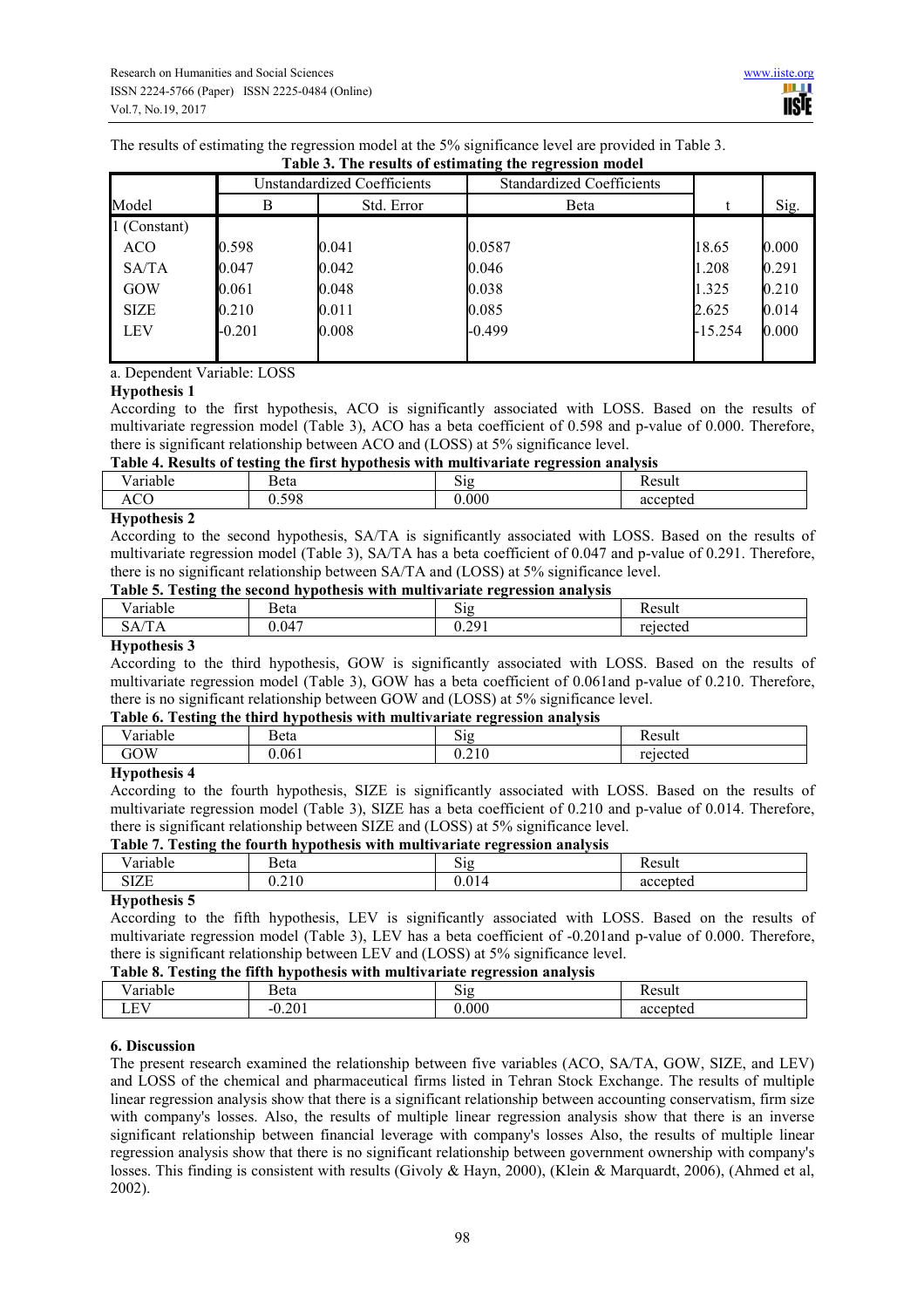The results of estimating the regression model at the 5% significance level are provided in Table 3.

|              |          | <b>Unstandardized Coefficients</b> | <b>Standardized Coefficients</b> |           |       |
|--------------|----------|------------------------------------|----------------------------------|-----------|-------|
| Model        | В        | Std. Error                         | <b>B</b> eta                     |           | Sig.  |
| 1 (Constant) |          |                                    |                                  |           |       |
| <b>ACO</b>   | 0.598    | 0.041                              | 0.0587                           | 18.65     | 0.000 |
| SA/TA        | 0.047    | 0.042                              | 0.046                            | 1.208     | 0.291 |
| GOW          | 0.061    | 0.048                              | 0.038                            | 1.325     | 0.210 |
| <b>SIZE</b>  | 0.210    | 0.011                              | 0.085                            | 2.625     | 0.014 |
| <b>LEV</b>   | $-0.201$ | 0.008                              | $-0.499$                         | $-15.254$ | 0.000 |
|              |          |                                    |                                  |           |       |

## **Table 3. The results of estimating the regression model**

## a. Dependent Variable: LOSS

#### **Hypothesis 1**

According to the first hypothesis, ACO is significantly associated with LOSS. Based on the results of multivariate regression model (Table 3), ACO has a beta coefficient of 0.598 and p-value of 0.000. Therefore, there is significant relationship between ACO and (LOSS) at 5% significance level.

## **Table 4. Results of testing the first hypothesis with multivariate regression analysis**

| - -<br>-----<br>. | eta<br>---- | $\sim\cdot$<br>.<br>ы.<br>ື້ | 00111<br>วน เ<br>. |
|-------------------|-------------|------------------------------|--------------------|
| A                 | 00.0        | 000                          |                    |
|                   |             |                              |                    |

#### **Hypothesis 2**

According to the second hypothesis, SA/TA is significantly associated with LOSS. Based on the results of multivariate regression model (Table 3), SA/TA has a beta coefficient of 0.047 and p-value of 0.291. Therefore, there is no significant relationship between SA/TA and (LOSS) at 5% significance level.

#### **Table 5. Testing the second hypothesis with multivariate regression analysis**

| THUIL OF TUBLING THE BECOME HYDOLICBIS WITH MINITY ALTAIC LUGHOND II AMALYBIS |        |       |          |  |
|-------------------------------------------------------------------------------|--------|-------|----------|--|
| Variable                                                                      | 3eta   | 512   | Result   |  |
| SА<br>IА                                                                      | .047 ل | 0.291 | rejected |  |
|                                                                               |        |       |          |  |

#### **Hypothesis 3**

According to the third hypothesis, GOW is significantly associated with LOSS. Based on the results of multivariate regression model (Table 3), GOW has a beta coefficient of 0.061and p-value of 0.210. Therefore, there is no significant relationship between GOW and (LOSS) at 5% significance level.

#### **Table 6. Testing the third hypothesis with multivariate regression analysis**

| $\sim$ 101 $\sim$ 10 | - -<br>eta | $\sim$<br>- -                                | $\sim$ $\sim$ $\sim$ |
|----------------------|------------|----------------------------------------------|----------------------|
| $\overline{1}OW$     | 06         | $\sim$<br>$\mathsf{v}.\mathsf{v}.\mathsf{v}$ |                      |
| $-$                  |            |                                              |                      |

#### **Hypothesis 4**

According to the fourth hypothesis, SIZE is significantly associated with LOSS. Based on the results of multivariate regression model (Table 3), SIZE has a beta coefficient of 0.210 and p-value of 0.014. Therefore, there is significant relationship between SIZE and (LOSS) at 5% significance level.

#### **Table 7. Testing the fourth hypothesis with multivariate regression analysis**

| - -  | Beta                                          | -<br>$\sim$<br>ຼ | $\alpha$<br>. |
|------|-----------------------------------------------|------------------|---------------|
| OLLE | $\overline{\phantom{a}}$<br>$\sim$<br>. L . L | . .              | --<br>u.      |

## **Hypothesis 5**

According to the fifth hypothesis, LEV is significantly associated with LOSS. Based on the results of multivariate regression model (Table 3), LEV has a beta coefficient of -0.201and p-value of 0.000. Therefore, there is significant relationship between LEV and (LOSS) at 5% significance level.

#### **Table 8. Testing the fifth hypothesis with multivariate regression analysis**

| - -<br>orioh<br>танн | T.<br>Beta        | --  | $\alpha$ <sub><math>\alpha</math></sub> $\alpha$ <sup><math>\alpha</math></sup> $\alpha$ <sup><math>\alpha</math></sup> $\alpha$ <sup><math>\alpha</math></sup> $\alpha$ <sup><math>\alpha</math></sup> $\alpha$ <sup><math>\alpha</math></sup> $\alpha$ <sup><math>\alpha</math></sup> $\alpha$ <sup><math>\alpha</math></sup> $\alpha$ <sup><math>\alpha</math></sup> $\alpha$ <sup><math>\alpha</math></sup> $\alpha$ <sup><math>\alpha</math></sup> $\alpha$ <sup><math>\alpha</math></sup> $\alpha$ <sup><math>\alpha</math></sup> $\alpha$ <sup><math>\alpha</math></sup> $\alpha$ <sup><math>\alpha</math></sup> $\alpha$ <sup><math>\alpha</math></sup> $\alpha$ <sup><math>\alpha</math></sup> $\alpha$ <sup><math>\alpha</math></sup> $\alpha$ <sup><math>\alpha</math></sup> $\alpha$ <sup><math>\alpha</math></sup> $\alpha$ <sup><math>\alpha</math></sup> $\alpha$ <sup><math>\alpha</math></sup><br>านเ |
|----------------------|-------------------|-----|------------------------------------------------------------------------------------------------------------------------------------------------------------------------------------------------------------------------------------------------------------------------------------------------------------------------------------------------------------------------------------------------------------------------------------------------------------------------------------------------------------------------------------------------------------------------------------------------------------------------------------------------------------------------------------------------------------------------------------------------------------------------------------------------------------------------------------------------------------------------------------------------------------------------|
| <b>TIT</b><br>⊷      | 201<br>2U I<br>-- | 000 | cented<br>яα                                                                                                                                                                                                                                                                                                                                                                                                                                                                                                                                                                                                                                                                                                                                                                                                                                                                                                           |

## **6. Discussion**

The present research examined the relationship between five variables (ACO, SA/TA, GOW, SIZE, and LEV) and LOSS of the chemical and pharmaceutical firms listed in Tehran Stock Exchange. The results of multiple linear regression analysis show that there is a significant relationship between accounting conservatism, firm size with company's losses. Also, the results of multiple linear regression analysis show that there is an inverse significant relationship between financial leverage with company's losses Also, the results of multiple linear regression analysis show that there is no significant relationship between government ownership with company's losses. This finding is consistent with results (Givoly & Hayn, 2000), (Klein & Marquardt, 2006), (Ahmed et al, 2002).